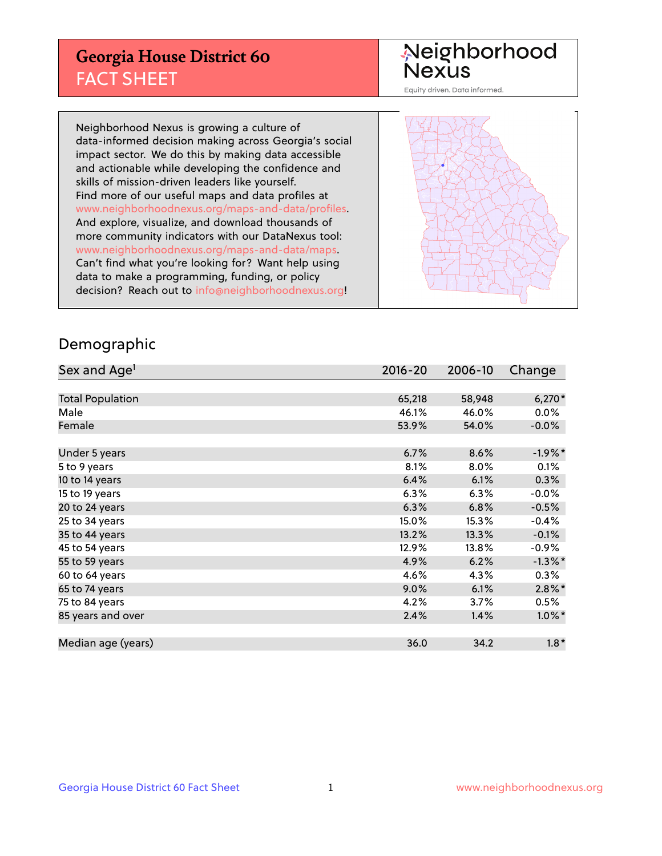## **Georgia House District 60** FACT SHEET

# Neighborhood<br>Nexus

Equity driven. Data informed.

Neighborhood Nexus is growing a culture of data-informed decision making across Georgia's social impact sector. We do this by making data accessible and actionable while developing the confidence and skills of mission-driven leaders like yourself. Find more of our useful maps and data profiles at www.neighborhoodnexus.org/maps-and-data/profiles. And explore, visualize, and download thousands of more community indicators with our DataNexus tool: www.neighborhoodnexus.org/maps-and-data/maps. Can't find what you're looking for? Want help using data to make a programming, funding, or policy decision? Reach out to [info@neighborhoodnexus.org!](mailto:info@neighborhoodnexus.org)



### Demographic

| Sex and Age <sup>1</sup> | $2016 - 20$ | 2006-10 | Change     |
|--------------------------|-------------|---------|------------|
|                          |             |         |            |
| <b>Total Population</b>  | 65,218      | 58,948  | $6,270*$   |
| Male                     | 46.1%       | 46.0%   | $0.0\%$    |
| Female                   | 53.9%       | 54.0%   | $-0.0\%$   |
|                          |             |         |            |
| Under 5 years            | 6.7%        | 8.6%    | $-1.9\%$ * |
| 5 to 9 years             | 8.1%        | 8.0%    | 0.1%       |
| 10 to 14 years           | 6.4%        | 6.1%    | 0.3%       |
| 15 to 19 years           | 6.3%        | 6.3%    | $-0.0%$    |
| 20 to 24 years           | 6.3%        | 6.8%    | $-0.5%$    |
| 25 to 34 years           | 15.0%       | 15.3%   | $-0.4%$    |
| 35 to 44 years           | 13.2%       | 13.3%   | $-0.1%$    |
| 45 to 54 years           | 12.9%       | 13.8%   | $-0.9%$    |
| 55 to 59 years           | 4.9%        | 6.2%    | $-1.3\%$ * |
| 60 to 64 years           | 4.6%        | 4.3%    | $0.3\%$    |
| 65 to 74 years           | $9.0\%$     | 6.1%    | $2.8\%$ *  |
| 75 to 84 years           | 4.2%        | 3.7%    | 0.5%       |
| 85 years and over        | 2.4%        | 1.4%    | $1.0\%$ *  |
|                          |             |         |            |
| Median age (years)       | 36.0        | 34.2    | $1.8*$     |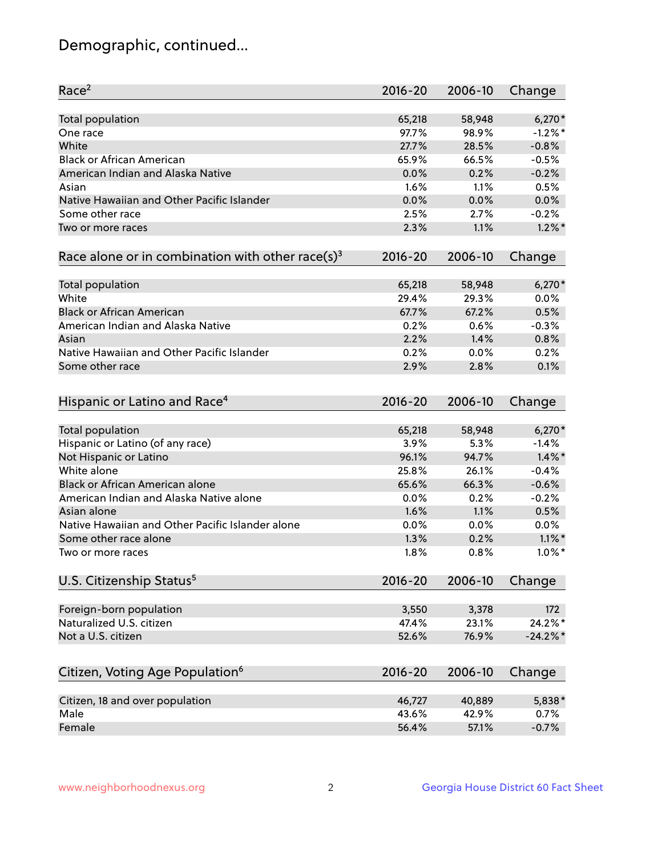## Demographic, continued...

| Race <sup>2</sup>                                            | $2016 - 20$ | 2006-10 | Change    |
|--------------------------------------------------------------|-------------|---------|-----------|
| <b>Total population</b>                                      | 65,218      | 58,948  | $6,270*$  |
| One race                                                     | 97.7%       | 98.9%   | $-1.2%$ * |
| White                                                        | 27.7%       | 28.5%   | $-0.8%$   |
| <b>Black or African American</b>                             | 65.9%       | 66.5%   | $-0.5%$   |
| American Indian and Alaska Native                            | 0.0%        | 0.2%    | $-0.2%$   |
| Asian                                                        | 1.6%        | 1.1%    | 0.5%      |
| Native Hawaiian and Other Pacific Islander                   | 0.0%        | 0.0%    | 0.0%      |
| Some other race                                              | 2.5%        | 2.7%    | $-0.2%$   |
| Two or more races                                            | 2.3%        | 1.1%    | $1.2\%$ * |
| Race alone or in combination with other race(s) <sup>3</sup> | $2016 - 20$ | 2006-10 | Change    |
| Total population                                             | 65,218      | 58,948  | $6,270*$  |
| White                                                        | 29.4%       | 29.3%   | 0.0%      |
| <b>Black or African American</b>                             | 67.7%       | 67.2%   | 0.5%      |
| American Indian and Alaska Native                            | 0.2%        | 0.6%    | $-0.3%$   |
| Asian                                                        | 2.2%        | 1.4%    | 0.8%      |
| Native Hawaiian and Other Pacific Islander                   | 0.2%        | 0.0%    | 0.2%      |
| Some other race                                              | 2.9%        | 2.8%    | 0.1%      |
|                                                              |             |         |           |
| Hispanic or Latino and Race <sup>4</sup>                     | $2016 - 20$ | 2006-10 | Change    |
| <b>Total population</b>                                      | 65,218      | 58,948  | $6,270*$  |
| Hispanic or Latino (of any race)                             | 3.9%        | 5.3%    | $-1.4%$   |
| Not Hispanic or Latino                                       | 96.1%       | 94.7%   | $1.4\%$ * |
| White alone                                                  | 25.8%       | 26.1%   | $-0.4%$   |
| Black or African American alone                              | 65.6%       | 66.3%   | $-0.6%$   |
| American Indian and Alaska Native alone                      | 0.0%        | 0.2%    | $-0.2%$   |
| Asian alone                                                  | 1.6%        | 1.1%    | 0.5%      |
| Native Hawaiian and Other Pacific Islander alone             | $0.0\%$     | 0.0%    | $0.0\%$   |
| Some other race alone                                        | 1.3%        | 0.2%    | $1.1\%$ * |
| Two or more races                                            | 1.8%        | 0.8%    | $1.0\%$ * |
| U.S. Citizenship Status <sup>5</sup>                         | $2016 - 20$ | 2006-10 | Change    |
|                                                              |             |         |           |
| Foreign-born population                                      | 3,550       | 3,378   | 172       |
| Naturalized U.S. citizen                                     | 47.4%       | 23.1%   | 24.2%*    |
| Not a U.S. citizen                                           | 52.6%       | 76.9%   | $-24.2%$  |
| Citizen, Voting Age Population <sup>6</sup>                  | $2016 - 20$ | 2006-10 | Change    |
| Citizen, 18 and over population                              | 46,727      | 40,889  | 5,838*    |
| Male                                                         | 43.6%       | 42.9%   | 0.7%      |
| Female                                                       | 56.4%       | 57.1%   | $-0.7%$   |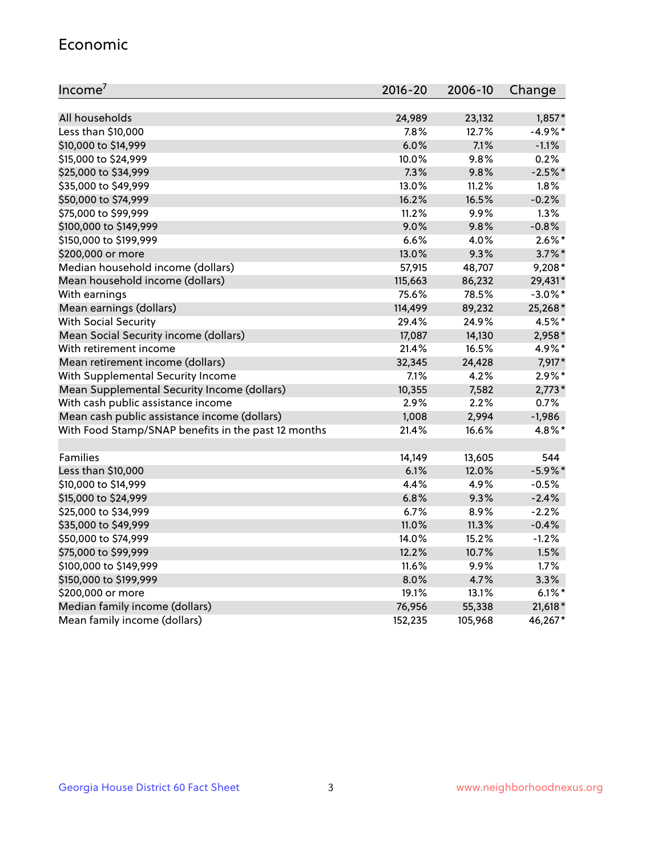#### Economic

| Income <sup>7</sup>                                 | $2016 - 20$ | 2006-10 | Change     |
|-----------------------------------------------------|-------------|---------|------------|
|                                                     |             |         |            |
| All households                                      | 24,989      | 23,132  | $1,857*$   |
| Less than \$10,000                                  | 7.8%        | 12.7%   | $-4.9%$ *  |
| \$10,000 to \$14,999                                | 6.0%        | 7.1%    | $-1.1%$    |
| \$15,000 to \$24,999                                | 10.0%       | 9.8%    | 0.2%       |
| \$25,000 to \$34,999                                | 7.3%        | 9.8%    | $-2.5%$ *  |
| \$35,000 to \$49,999                                | 13.0%       | 11.2%   | 1.8%       |
| \$50,000 to \$74,999                                | 16.2%       | 16.5%   | $-0.2%$    |
| \$75,000 to \$99,999                                | 11.2%       | 9.9%    | 1.3%       |
| \$100,000 to \$149,999                              | 9.0%        | 9.8%    | $-0.8%$    |
| \$150,000 to \$199,999                              | 6.6%        | 4.0%    | $2.6\%$ *  |
| \$200,000 or more                                   | 13.0%       | 9.3%    | $3.7\%$ *  |
| Median household income (dollars)                   | 57,915      | 48,707  | 9,208*     |
| Mean household income (dollars)                     | 115,663     | 86,232  | 29,431*    |
| With earnings                                       | 75.6%       | 78.5%   | $-3.0\%$ * |
| Mean earnings (dollars)                             | 114,499     | 89,232  | 25,268*    |
| <b>With Social Security</b>                         | 29.4%       | 24.9%   | 4.5%*      |
| Mean Social Security income (dollars)               | 17,087      | 14,130  | 2,958*     |
| With retirement income                              | 21.4%       | 16.5%   | 4.9%*      |
| Mean retirement income (dollars)                    | 32,345      | 24,428  | 7,917*     |
| With Supplemental Security Income                   | 7.1%        | 4.2%    | $2.9\%$ *  |
| Mean Supplemental Security Income (dollars)         | 10,355      | 7,582   | $2,773*$   |
| With cash public assistance income                  | 2.9%        | 2.2%    | 0.7%       |
| Mean cash public assistance income (dollars)        | 1,008       | 2,994   | $-1,986$   |
| With Food Stamp/SNAP benefits in the past 12 months | 21.4%       | 16.6%   | 4.8%*      |
|                                                     |             |         |            |
| Families                                            | 14,149      | 13,605  | 544        |
| Less than \$10,000                                  | 6.1%        | 12.0%   | $-5.9\%$ * |
| \$10,000 to \$14,999                                | 4.4%        | 4.9%    | $-0.5%$    |
| \$15,000 to \$24,999                                | 6.8%        | 9.3%    | $-2.4%$    |
| \$25,000 to \$34,999                                | 6.7%        | 8.9%    | $-2.2%$    |
| \$35,000 to \$49,999                                | 11.0%       | 11.3%   | $-0.4%$    |
| \$50,000 to \$74,999                                | 14.0%       | 15.2%   | $-1.2%$    |
| \$75,000 to \$99,999                                | 12.2%       | 10.7%   | 1.5%       |
| \$100,000 to \$149,999                              | 11.6%       | 9.9%    | 1.7%       |
| \$150,000 to \$199,999                              | 8.0%        | 4.7%    | 3.3%       |
| \$200,000 or more                                   | 19.1%       | 13.1%   | $6.1\%$ *  |
| Median family income (dollars)                      | 76,956      | 55,338  | $21,618*$  |
| Mean family income (dollars)                        | 152,235     | 105,968 | 46,267*    |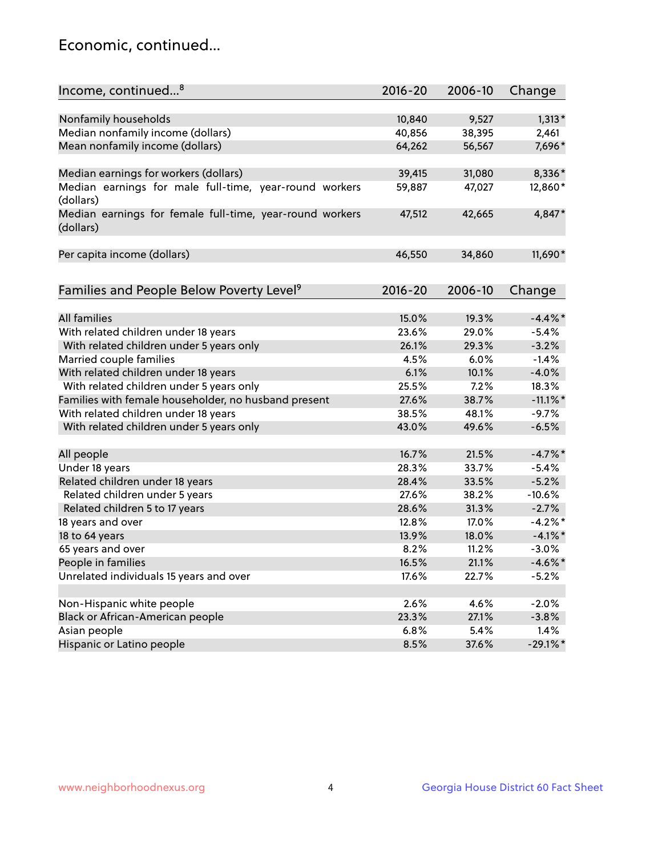## Economic, continued...

| Income, continued <sup>8</sup>                                        | $2016 - 20$ | 2006-10 | Change      |
|-----------------------------------------------------------------------|-------------|---------|-------------|
|                                                                       |             |         |             |
| Nonfamily households                                                  | 10,840      | 9,527   | $1,313*$    |
| Median nonfamily income (dollars)                                     | 40,856      | 38,395  | 2,461       |
| Mean nonfamily income (dollars)                                       | 64,262      | 56,567  | 7,696*      |
| Median earnings for workers (dollars)                                 | 39,415      | 31,080  | 8,336*      |
| Median earnings for male full-time, year-round workers                | 59,887      | 47,027  | 12,860*     |
| (dollars)                                                             |             |         |             |
| Median earnings for female full-time, year-round workers<br>(dollars) | 47,512      | 42,665  | 4,847*      |
| Per capita income (dollars)                                           | 46,550      | 34,860  | 11,690*     |
|                                                                       |             |         |             |
| Families and People Below Poverty Level <sup>9</sup>                  | $2016 - 20$ | 2006-10 | Change      |
|                                                                       |             |         |             |
| <b>All families</b>                                                   | 15.0%       | 19.3%   | $-4.4\%$ *  |
| With related children under 18 years                                  | 23.6%       | 29.0%   | $-5.4%$     |
| With related children under 5 years only                              | 26.1%       | 29.3%   | $-3.2%$     |
| Married couple families                                               | 4.5%        | 6.0%    | $-1.4%$     |
| With related children under 18 years                                  | 6.1%        | 10.1%   | $-4.0%$     |
| With related children under 5 years only                              | 25.5%       | 7.2%    | 18.3%       |
| Families with female householder, no husband present                  | 27.6%       | 38.7%   | $-11.1\%$ * |
| With related children under 18 years                                  | 38.5%       | 48.1%   | $-9.7%$     |
| With related children under 5 years only                              | 43.0%       | 49.6%   | $-6.5%$     |
| All people                                                            | 16.7%       | 21.5%   | $-4.7\%$ *  |
| Under 18 years                                                        | 28.3%       | 33.7%   | $-5.4%$     |
| Related children under 18 years                                       | 28.4%       | 33.5%   | $-5.2%$     |
| Related children under 5 years                                        | 27.6%       | 38.2%   | $-10.6%$    |
| Related children 5 to 17 years                                        | 28.6%       | 31.3%   | $-2.7%$     |
| 18 years and over                                                     | 12.8%       | 17.0%   | $-4.2\%$ *  |
| 18 to 64 years                                                        | 13.9%       | 18.0%   | $-4.1\%$ *  |
| 65 years and over                                                     | 8.2%        | 11.2%   | $-3.0%$     |
| People in families                                                    | 16.5%       | 21.1%   | $-4.6\%$ *  |
| Unrelated individuals 15 years and over                               | 17.6%       | 22.7%   | $-5.2%$     |
|                                                                       |             |         |             |
| Non-Hispanic white people                                             | 2.6%        | 4.6%    | $-2.0%$     |
| Black or African-American people                                      | 23.3%       | 27.1%   | $-3.8%$     |
| Asian people                                                          | 6.8%        | 5.4%    | 1.4%        |
| Hispanic or Latino people                                             | 8.5%        | 37.6%   | $-29.1\%$ * |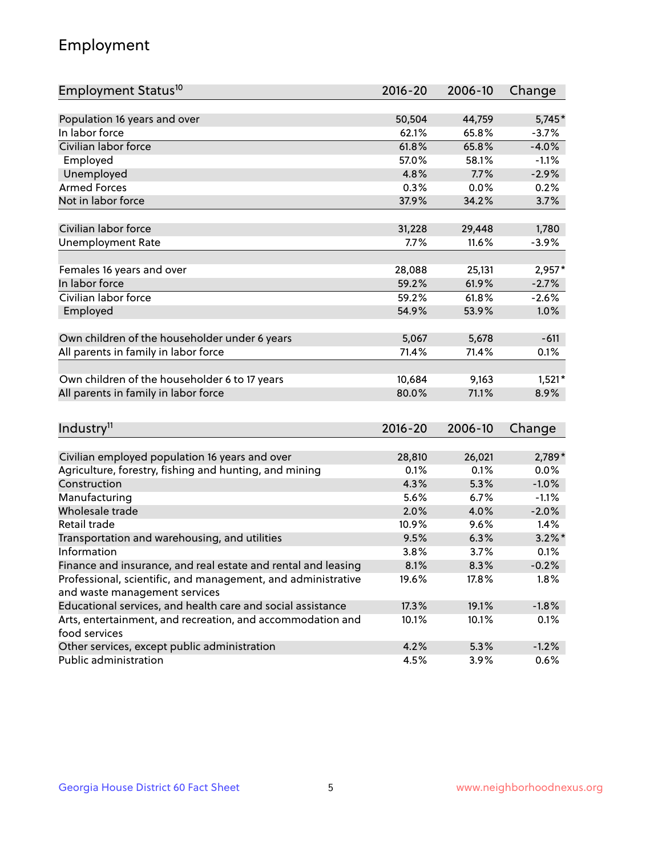## Employment

| Employment Status <sup>10</sup>                                             | $2016 - 20$ | 2006-10 | Change    |
|-----------------------------------------------------------------------------|-------------|---------|-----------|
|                                                                             |             |         |           |
| Population 16 years and over                                                | 50,504      | 44,759  | 5,745*    |
| In labor force                                                              | 62.1%       | 65.8%   | $-3.7%$   |
| Civilian labor force                                                        | 61.8%       | 65.8%   | $-4.0%$   |
| Employed                                                                    | 57.0%       | 58.1%   | $-1.1%$   |
| Unemployed                                                                  | 4.8%        | 7.7%    | $-2.9%$   |
| <b>Armed Forces</b>                                                         | 0.3%        | 0.0%    | 0.2%      |
| Not in labor force                                                          | 37.9%       | 34.2%   | 3.7%      |
|                                                                             |             |         |           |
| Civilian labor force                                                        | 31,228      | 29,448  | 1,780     |
| <b>Unemployment Rate</b>                                                    | 7.7%        | 11.6%   | $-3.9%$   |
| Females 16 years and over                                                   | 28,088      | 25,131  | $2,957*$  |
| In labor force                                                              | 59.2%       | 61.9%   | $-2.7%$   |
| Civilian labor force                                                        | 59.2%       | 61.8%   | $-2.6%$   |
| Employed                                                                    | 54.9%       | 53.9%   | 1.0%      |
|                                                                             |             |         |           |
| Own children of the householder under 6 years                               | 5,067       | 5,678   | $-611$    |
| All parents in family in labor force                                        | 71.4%       | 71.4%   | 0.1%      |
| Own children of the householder 6 to 17 years                               | 10,684      | 9,163   | $1,521*$  |
| All parents in family in labor force                                        | 80.0%       | 71.1%   | 8.9%      |
|                                                                             |             |         |           |
| Industry <sup>11</sup>                                                      | $2016 - 20$ | 2006-10 | Change    |
|                                                                             |             |         |           |
| Civilian employed population 16 years and over                              | 28,810      | 26,021  | 2,789*    |
| Agriculture, forestry, fishing and hunting, and mining                      | 0.1%        | 0.1%    | 0.0%      |
| Construction                                                                | 4.3%        | 5.3%    | $-1.0%$   |
| Manufacturing                                                               | 5.6%        | 6.7%    | $-1.1%$   |
| Wholesale trade                                                             | 2.0%        | 4.0%    | $-2.0%$   |
| Retail trade                                                                | 10.9%       | 9.6%    | 1.4%      |
| Transportation and warehousing, and utilities                               | 9.5%        | 6.3%    | $3.2\%$ * |
| Information                                                                 | 3.8%        | 3.7%    | 0.1%      |
| Finance and insurance, and real estate and rental and leasing               | 8.1%        | 8.3%    | $-0.2%$   |
| Professional, scientific, and management, and administrative                | 19.6%       | 17.8%   | 1.8%      |
| and waste management services                                               |             |         |           |
| Educational services, and health care and social assistance                 | 17.3%       | 19.1%   | $-1.8%$   |
| Arts, entertainment, and recreation, and accommodation and<br>food services | 10.1%       | 10.1%   | 0.1%      |
| Other services, except public administration                                | 4.2%        | 5.3%    | $-1.2%$   |
| Public administration                                                       | 4.5%        | 3.9%    | 0.6%      |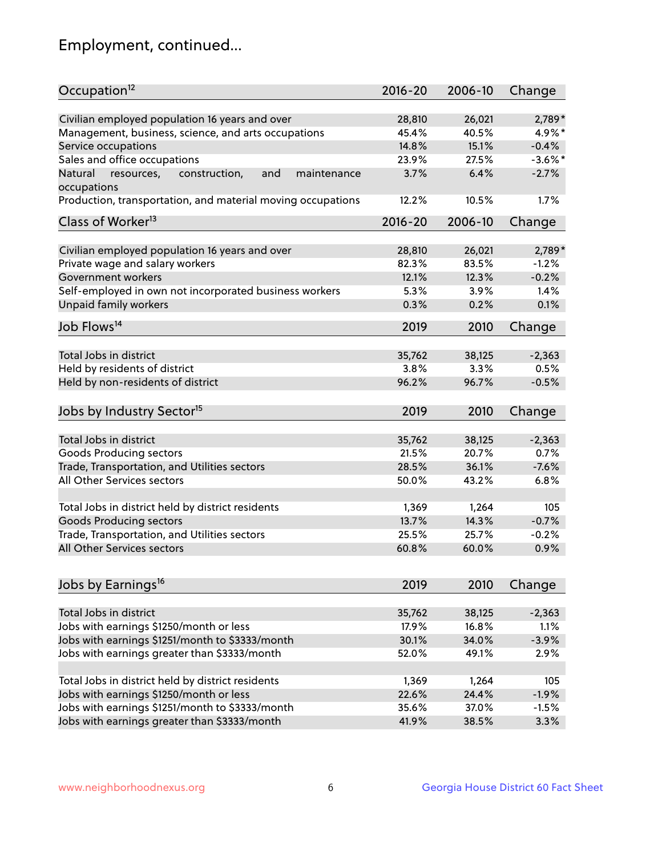## Employment, continued...

| Civilian employed population 16 years and over<br>28,810<br>26,021<br>$2,789*$<br>Management, business, science, and arts occupations<br>4.9%*<br>45.4%<br>40.5%<br>15.1%<br>Service occupations<br>14.8%<br>$-0.4%$<br>Sales and office occupations<br>23.9%<br>27.5%<br>$-3.6\%$ *<br>6.4%<br>and<br>3.7%<br>$-2.7%$<br>Natural<br>resources,<br>construction,<br>maintenance<br>occupations<br>Production, transportation, and material moving occupations<br>12.2%<br>10.5%<br>1.7%<br>Class of Worker <sup>13</sup><br>2016-20<br>2006-10<br>Change<br>Civilian employed population 16 years and over<br>2,789*<br>28,810<br>26,021<br>Private wage and salary workers<br>82.3%<br>83.5%<br>$-1.2%$<br>Government workers<br>12.1%<br>12.3%<br>$-0.2%$<br>Self-employed in own not incorporated business workers<br>5.3%<br>1.4%<br>3.9%<br>Unpaid family workers<br>0.3%<br>0.2%<br>0.1%<br>Job Flows <sup>14</sup><br>2019<br>2010<br>Change<br>Total Jobs in district<br>35,762<br>38,125<br>$-2,363$<br>Held by residents of district<br>3.8%<br>3.3%<br>0.5%<br>Held by non-residents of district<br>96.2%<br>96.7%<br>$-0.5%$<br>Jobs by Industry Sector <sup>15</sup><br>2019<br>2010<br>Change<br>Total Jobs in district<br>35,762<br>38,125<br>$-2,363$<br>Goods Producing sectors<br>21.5%<br>20.7%<br>0.7%<br>$-7.6%$<br>Trade, Transportation, and Utilities sectors<br>28.5%<br>36.1%<br>All Other Services sectors<br>50.0%<br>6.8%<br>43.2%<br>Total Jobs in district held by district residents<br>1,369<br>1,264<br>105<br><b>Goods Producing sectors</b><br>13.7%<br>14.3%<br>$-0.7%$<br>Trade, Transportation, and Utilities sectors<br>25.5%<br>25.7%<br>$-0.2%$<br>All Other Services sectors<br>60.8%<br>60.0%<br>0.9%<br>Jobs by Earnings <sup>16</sup><br>2019<br>2010<br>Change<br>Total Jobs in district<br>35,762<br>$-2,363$<br>38,125<br>Jobs with earnings \$1250/month or less<br>17.9%<br>16.8%<br>1.1%<br>Jobs with earnings \$1251/month to \$3333/month<br>30.1%<br>34.0%<br>$-3.9%$<br>Jobs with earnings greater than \$3333/month<br>52.0%<br>49.1%<br>2.9%<br>Total Jobs in district held by district residents<br>1,369<br>1,264<br>105 | Occupation <sup>12</sup>                | $2016 - 20$ | 2006-10 | Change  |
|--------------------------------------------------------------------------------------------------------------------------------------------------------------------------------------------------------------------------------------------------------------------------------------------------------------------------------------------------------------------------------------------------------------------------------------------------------------------------------------------------------------------------------------------------------------------------------------------------------------------------------------------------------------------------------------------------------------------------------------------------------------------------------------------------------------------------------------------------------------------------------------------------------------------------------------------------------------------------------------------------------------------------------------------------------------------------------------------------------------------------------------------------------------------------------------------------------------------------------------------------------------------------------------------------------------------------------------------------------------------------------------------------------------------------------------------------------------------------------------------------------------------------------------------------------------------------------------------------------------------------------------------------------------------------------------------------------------------------------------------------------------------------------------------------------------------------------------------------------------------------------------------------------------------------------------------------------------------------------------------------------------------------------------------------------------------------------------------------------------------------------------------------------------------------------------|-----------------------------------------|-------------|---------|---------|
|                                                                                                                                                                                                                                                                                                                                                                                                                                                                                                                                                                                                                                                                                                                                                                                                                                                                                                                                                                                                                                                                                                                                                                                                                                                                                                                                                                                                                                                                                                                                                                                                                                                                                                                                                                                                                                                                                                                                                                                                                                                                                                                                                                                      |                                         |             |         |         |
|                                                                                                                                                                                                                                                                                                                                                                                                                                                                                                                                                                                                                                                                                                                                                                                                                                                                                                                                                                                                                                                                                                                                                                                                                                                                                                                                                                                                                                                                                                                                                                                                                                                                                                                                                                                                                                                                                                                                                                                                                                                                                                                                                                                      |                                         |             |         |         |
|                                                                                                                                                                                                                                                                                                                                                                                                                                                                                                                                                                                                                                                                                                                                                                                                                                                                                                                                                                                                                                                                                                                                                                                                                                                                                                                                                                                                                                                                                                                                                                                                                                                                                                                                                                                                                                                                                                                                                                                                                                                                                                                                                                                      |                                         |             |         |         |
|                                                                                                                                                                                                                                                                                                                                                                                                                                                                                                                                                                                                                                                                                                                                                                                                                                                                                                                                                                                                                                                                                                                                                                                                                                                                                                                                                                                                                                                                                                                                                                                                                                                                                                                                                                                                                                                                                                                                                                                                                                                                                                                                                                                      |                                         |             |         |         |
|                                                                                                                                                                                                                                                                                                                                                                                                                                                                                                                                                                                                                                                                                                                                                                                                                                                                                                                                                                                                                                                                                                                                                                                                                                                                                                                                                                                                                                                                                                                                                                                                                                                                                                                                                                                                                                                                                                                                                                                                                                                                                                                                                                                      |                                         |             |         |         |
|                                                                                                                                                                                                                                                                                                                                                                                                                                                                                                                                                                                                                                                                                                                                                                                                                                                                                                                                                                                                                                                                                                                                                                                                                                                                                                                                                                                                                                                                                                                                                                                                                                                                                                                                                                                                                                                                                                                                                                                                                                                                                                                                                                                      |                                         |             |         |         |
|                                                                                                                                                                                                                                                                                                                                                                                                                                                                                                                                                                                                                                                                                                                                                                                                                                                                                                                                                                                                                                                                                                                                                                                                                                                                                                                                                                                                                                                                                                                                                                                                                                                                                                                                                                                                                                                                                                                                                                                                                                                                                                                                                                                      |                                         |             |         |         |
|                                                                                                                                                                                                                                                                                                                                                                                                                                                                                                                                                                                                                                                                                                                                                                                                                                                                                                                                                                                                                                                                                                                                                                                                                                                                                                                                                                                                                                                                                                                                                                                                                                                                                                                                                                                                                                                                                                                                                                                                                                                                                                                                                                                      |                                         |             |         |         |
|                                                                                                                                                                                                                                                                                                                                                                                                                                                                                                                                                                                                                                                                                                                                                                                                                                                                                                                                                                                                                                                                                                                                                                                                                                                                                                                                                                                                                                                                                                                                                                                                                                                                                                                                                                                                                                                                                                                                                                                                                                                                                                                                                                                      |                                         |             |         |         |
|                                                                                                                                                                                                                                                                                                                                                                                                                                                                                                                                                                                                                                                                                                                                                                                                                                                                                                                                                                                                                                                                                                                                                                                                                                                                                                                                                                                                                                                                                                                                                                                                                                                                                                                                                                                                                                                                                                                                                                                                                                                                                                                                                                                      |                                         |             |         |         |
|                                                                                                                                                                                                                                                                                                                                                                                                                                                                                                                                                                                                                                                                                                                                                                                                                                                                                                                                                                                                                                                                                                                                                                                                                                                                                                                                                                                                                                                                                                                                                                                                                                                                                                                                                                                                                                                                                                                                                                                                                                                                                                                                                                                      |                                         |             |         |         |
|                                                                                                                                                                                                                                                                                                                                                                                                                                                                                                                                                                                                                                                                                                                                                                                                                                                                                                                                                                                                                                                                                                                                                                                                                                                                                                                                                                                                                                                                                                                                                                                                                                                                                                                                                                                                                                                                                                                                                                                                                                                                                                                                                                                      |                                         |             |         |         |
|                                                                                                                                                                                                                                                                                                                                                                                                                                                                                                                                                                                                                                                                                                                                                                                                                                                                                                                                                                                                                                                                                                                                                                                                                                                                                                                                                                                                                                                                                                                                                                                                                                                                                                                                                                                                                                                                                                                                                                                                                                                                                                                                                                                      |                                         |             |         |         |
|                                                                                                                                                                                                                                                                                                                                                                                                                                                                                                                                                                                                                                                                                                                                                                                                                                                                                                                                                                                                                                                                                                                                                                                                                                                                                                                                                                                                                                                                                                                                                                                                                                                                                                                                                                                                                                                                                                                                                                                                                                                                                                                                                                                      |                                         |             |         |         |
|                                                                                                                                                                                                                                                                                                                                                                                                                                                                                                                                                                                                                                                                                                                                                                                                                                                                                                                                                                                                                                                                                                                                                                                                                                                                                                                                                                                                                                                                                                                                                                                                                                                                                                                                                                                                                                                                                                                                                                                                                                                                                                                                                                                      |                                         |             |         |         |
|                                                                                                                                                                                                                                                                                                                                                                                                                                                                                                                                                                                                                                                                                                                                                                                                                                                                                                                                                                                                                                                                                                                                                                                                                                                                                                                                                                                                                                                                                                                                                                                                                                                                                                                                                                                                                                                                                                                                                                                                                                                                                                                                                                                      |                                         |             |         |         |
|                                                                                                                                                                                                                                                                                                                                                                                                                                                                                                                                                                                                                                                                                                                                                                                                                                                                                                                                                                                                                                                                                                                                                                                                                                                                                                                                                                                                                                                                                                                                                                                                                                                                                                                                                                                                                                                                                                                                                                                                                                                                                                                                                                                      |                                         |             |         |         |
|                                                                                                                                                                                                                                                                                                                                                                                                                                                                                                                                                                                                                                                                                                                                                                                                                                                                                                                                                                                                                                                                                                                                                                                                                                                                                                                                                                                                                                                                                                                                                                                                                                                                                                                                                                                                                                                                                                                                                                                                                                                                                                                                                                                      |                                         |             |         |         |
|                                                                                                                                                                                                                                                                                                                                                                                                                                                                                                                                                                                                                                                                                                                                                                                                                                                                                                                                                                                                                                                                                                                                                                                                                                                                                                                                                                                                                                                                                                                                                                                                                                                                                                                                                                                                                                                                                                                                                                                                                                                                                                                                                                                      |                                         |             |         |         |
|                                                                                                                                                                                                                                                                                                                                                                                                                                                                                                                                                                                                                                                                                                                                                                                                                                                                                                                                                                                                                                                                                                                                                                                                                                                                                                                                                                                                                                                                                                                                                                                                                                                                                                                                                                                                                                                                                                                                                                                                                                                                                                                                                                                      |                                         |             |         |         |
|                                                                                                                                                                                                                                                                                                                                                                                                                                                                                                                                                                                                                                                                                                                                                                                                                                                                                                                                                                                                                                                                                                                                                                                                                                                                                                                                                                                                                                                                                                                                                                                                                                                                                                                                                                                                                                                                                                                                                                                                                                                                                                                                                                                      |                                         |             |         |         |
|                                                                                                                                                                                                                                                                                                                                                                                                                                                                                                                                                                                                                                                                                                                                                                                                                                                                                                                                                                                                                                                                                                                                                                                                                                                                                                                                                                                                                                                                                                                                                                                                                                                                                                                                                                                                                                                                                                                                                                                                                                                                                                                                                                                      |                                         |             |         |         |
|                                                                                                                                                                                                                                                                                                                                                                                                                                                                                                                                                                                                                                                                                                                                                                                                                                                                                                                                                                                                                                                                                                                                                                                                                                                                                                                                                                                                                                                                                                                                                                                                                                                                                                                                                                                                                                                                                                                                                                                                                                                                                                                                                                                      |                                         |             |         |         |
|                                                                                                                                                                                                                                                                                                                                                                                                                                                                                                                                                                                                                                                                                                                                                                                                                                                                                                                                                                                                                                                                                                                                                                                                                                                                                                                                                                                                                                                                                                                                                                                                                                                                                                                                                                                                                                                                                                                                                                                                                                                                                                                                                                                      |                                         |             |         |         |
|                                                                                                                                                                                                                                                                                                                                                                                                                                                                                                                                                                                                                                                                                                                                                                                                                                                                                                                                                                                                                                                                                                                                                                                                                                                                                                                                                                                                                                                                                                                                                                                                                                                                                                                                                                                                                                                                                                                                                                                                                                                                                                                                                                                      |                                         |             |         |         |
|                                                                                                                                                                                                                                                                                                                                                                                                                                                                                                                                                                                                                                                                                                                                                                                                                                                                                                                                                                                                                                                                                                                                                                                                                                                                                                                                                                                                                                                                                                                                                                                                                                                                                                                                                                                                                                                                                                                                                                                                                                                                                                                                                                                      |                                         |             |         |         |
|                                                                                                                                                                                                                                                                                                                                                                                                                                                                                                                                                                                                                                                                                                                                                                                                                                                                                                                                                                                                                                                                                                                                                                                                                                                                                                                                                                                                                                                                                                                                                                                                                                                                                                                                                                                                                                                                                                                                                                                                                                                                                                                                                                                      |                                         |             |         |         |
|                                                                                                                                                                                                                                                                                                                                                                                                                                                                                                                                                                                                                                                                                                                                                                                                                                                                                                                                                                                                                                                                                                                                                                                                                                                                                                                                                                                                                                                                                                                                                                                                                                                                                                                                                                                                                                                                                                                                                                                                                                                                                                                                                                                      |                                         |             |         |         |
|                                                                                                                                                                                                                                                                                                                                                                                                                                                                                                                                                                                                                                                                                                                                                                                                                                                                                                                                                                                                                                                                                                                                                                                                                                                                                                                                                                                                                                                                                                                                                                                                                                                                                                                                                                                                                                                                                                                                                                                                                                                                                                                                                                                      |                                         |             |         |         |
|                                                                                                                                                                                                                                                                                                                                                                                                                                                                                                                                                                                                                                                                                                                                                                                                                                                                                                                                                                                                                                                                                                                                                                                                                                                                                                                                                                                                                                                                                                                                                                                                                                                                                                                                                                                                                                                                                                                                                                                                                                                                                                                                                                                      |                                         |             |         |         |
|                                                                                                                                                                                                                                                                                                                                                                                                                                                                                                                                                                                                                                                                                                                                                                                                                                                                                                                                                                                                                                                                                                                                                                                                                                                                                                                                                                                                                                                                                                                                                                                                                                                                                                                                                                                                                                                                                                                                                                                                                                                                                                                                                                                      |                                         |             |         |         |
|                                                                                                                                                                                                                                                                                                                                                                                                                                                                                                                                                                                                                                                                                                                                                                                                                                                                                                                                                                                                                                                                                                                                                                                                                                                                                                                                                                                                                                                                                                                                                                                                                                                                                                                                                                                                                                                                                                                                                                                                                                                                                                                                                                                      |                                         |             |         |         |
|                                                                                                                                                                                                                                                                                                                                                                                                                                                                                                                                                                                                                                                                                                                                                                                                                                                                                                                                                                                                                                                                                                                                                                                                                                                                                                                                                                                                                                                                                                                                                                                                                                                                                                                                                                                                                                                                                                                                                                                                                                                                                                                                                                                      |                                         |             |         |         |
|                                                                                                                                                                                                                                                                                                                                                                                                                                                                                                                                                                                                                                                                                                                                                                                                                                                                                                                                                                                                                                                                                                                                                                                                                                                                                                                                                                                                                                                                                                                                                                                                                                                                                                                                                                                                                                                                                                                                                                                                                                                                                                                                                                                      |                                         |             |         |         |
|                                                                                                                                                                                                                                                                                                                                                                                                                                                                                                                                                                                                                                                                                                                                                                                                                                                                                                                                                                                                                                                                                                                                                                                                                                                                                                                                                                                                                                                                                                                                                                                                                                                                                                                                                                                                                                                                                                                                                                                                                                                                                                                                                                                      |                                         |             |         |         |
|                                                                                                                                                                                                                                                                                                                                                                                                                                                                                                                                                                                                                                                                                                                                                                                                                                                                                                                                                                                                                                                                                                                                                                                                                                                                                                                                                                                                                                                                                                                                                                                                                                                                                                                                                                                                                                                                                                                                                                                                                                                                                                                                                                                      |                                         |             |         |         |
|                                                                                                                                                                                                                                                                                                                                                                                                                                                                                                                                                                                                                                                                                                                                                                                                                                                                                                                                                                                                                                                                                                                                                                                                                                                                                                                                                                                                                                                                                                                                                                                                                                                                                                                                                                                                                                                                                                                                                                                                                                                                                                                                                                                      |                                         |             |         |         |
|                                                                                                                                                                                                                                                                                                                                                                                                                                                                                                                                                                                                                                                                                                                                                                                                                                                                                                                                                                                                                                                                                                                                                                                                                                                                                                                                                                                                                                                                                                                                                                                                                                                                                                                                                                                                                                                                                                                                                                                                                                                                                                                                                                                      | Jobs with earnings \$1250/month or less | 22.6%       | 24.4%   | $-1.9%$ |
| Jobs with earnings \$1251/month to \$3333/month<br>35.6%<br>37.0%<br>$-1.5%$                                                                                                                                                                                                                                                                                                                                                                                                                                                                                                                                                                                                                                                                                                                                                                                                                                                                                                                                                                                                                                                                                                                                                                                                                                                                                                                                                                                                                                                                                                                                                                                                                                                                                                                                                                                                                                                                                                                                                                                                                                                                                                         |                                         |             |         |         |
| Jobs with earnings greater than \$3333/month<br>3.3%<br>41.9%<br>38.5%                                                                                                                                                                                                                                                                                                                                                                                                                                                                                                                                                                                                                                                                                                                                                                                                                                                                                                                                                                                                                                                                                                                                                                                                                                                                                                                                                                                                                                                                                                                                                                                                                                                                                                                                                                                                                                                                                                                                                                                                                                                                                                               |                                         |             |         |         |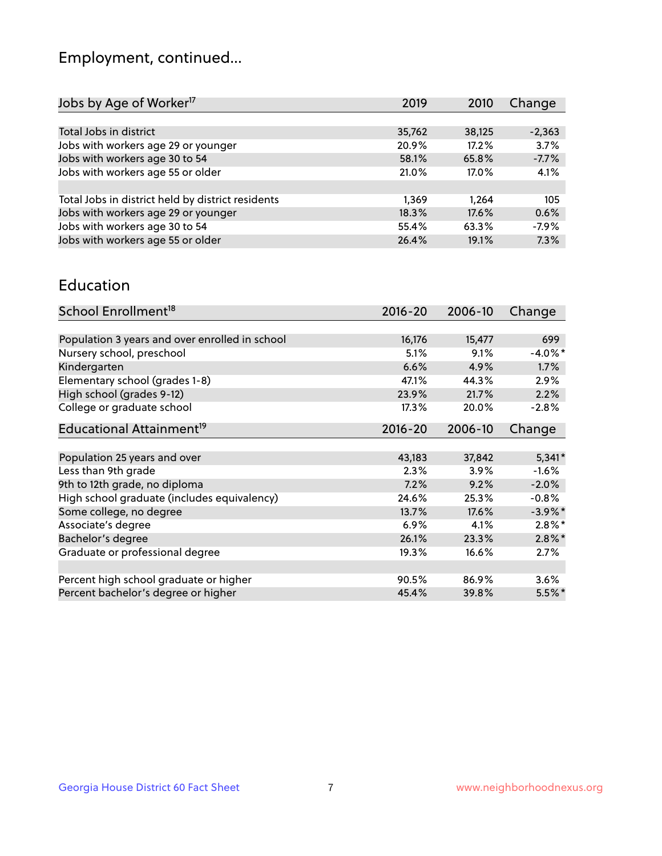## Employment, continued...

| 2019   | 2010   | Change   |
|--------|--------|----------|
|        |        |          |
| 35,762 | 38,125 | $-2,363$ |
| 20.9%  | 17.2%  | 3.7%     |
| 58.1%  | 65.8%  | $-7.7%$  |
| 21.0%  | 17.0%  | 4.1%     |
|        |        |          |
| 1,369  | 1.264  | 105      |
| 18.3%  | 17.6%  | 0.6%     |
| 55.4%  | 63.3%  | $-7.9%$  |
| 26.4%  | 19.1%  | 7.3%     |
|        |        |          |

#### Education

| School Enrollment <sup>18</sup>                | $2016 - 20$ | 2006-10 | Change     |
|------------------------------------------------|-------------|---------|------------|
|                                                |             |         |            |
| Population 3 years and over enrolled in school | 16,176      | 15,477  | 699        |
| Nursery school, preschool                      | 5.1%        | 9.1%    | $-4.0\%$ * |
| Kindergarten                                   | 6.6%        | 4.9%    | 1.7%       |
| Elementary school (grades 1-8)                 | 47.1%       | 44.3%   | $2.9\%$    |
| High school (grades 9-12)                      | 23.9%       | 21.7%   | 2.2%       |
| College or graduate school                     | 17.3%       | 20.0%   | $-2.8%$    |
| Educational Attainment <sup>19</sup>           | $2016 - 20$ | 2006-10 | Change     |
|                                                |             |         |            |
| Population 25 years and over                   | 43,183      | 37,842  | $5,341*$   |
| Less than 9th grade                            | 2.3%        | 3.9%    | $-1.6%$    |
| 9th to 12th grade, no diploma                  | 7.2%        | 9.2%    | $-2.0%$    |
| High school graduate (includes equivalency)    | 24.6%       | 25.3%   | $-0.8%$    |
| Some college, no degree                        | 13.7%       | 17.6%   | $-3.9\%$ * |
| Associate's degree                             | 6.9%        | 4.1%    | $2.8\%$ *  |
| Bachelor's degree                              | 26.1%       | 23.3%   | $2.8\%$ *  |
| Graduate or professional degree                | 19.3%       | 16.6%   | $2.7\%$    |
|                                                |             |         |            |
| Percent high school graduate or higher         | 90.5%       | 86.9%   | 3.6%       |
| Percent bachelor's degree or higher            | 45.4%       | 39.8%   | $5.5\%$ *  |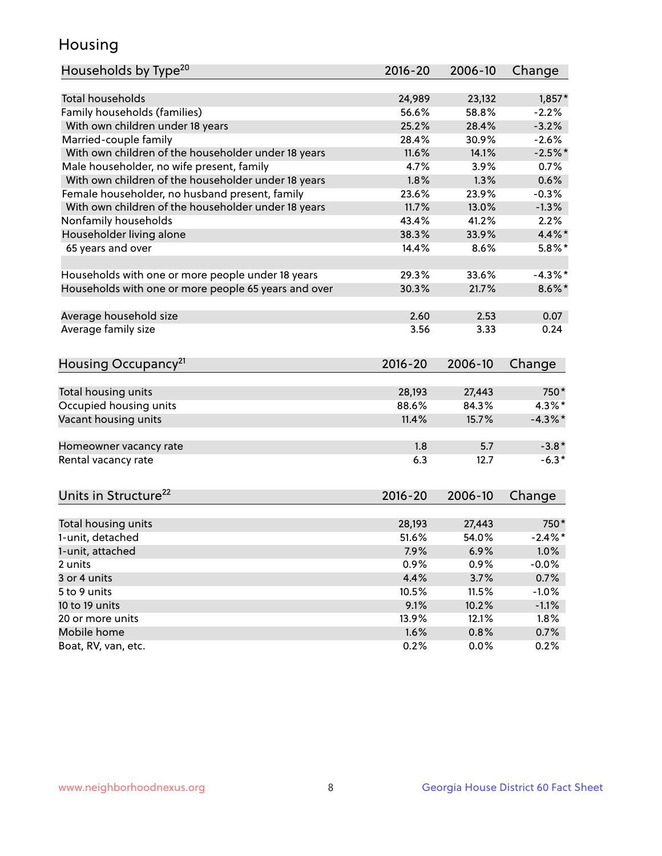## Housing

| Households by Type <sup>20</sup>                     | 2016-20         | 2006-10 | Change     |
|------------------------------------------------------|-----------------|---------|------------|
|                                                      |                 |         |            |
| <b>Total households</b>                              | 24,989          | 23,132  | $1,857*$   |
| Family households (families)                         | 56.6%           | 58.8%   | $-2.2%$    |
| With own children under 18 years                     | 25.2%           | 28.4%   | $-3.2%$    |
| Married-couple family                                | 28.4%           | 30.9%   | $-2.6%$    |
| With own children of the householder under 18 years  | 11.6%           | 14.1%   | $-2.5%$ *  |
| Male householder, no wife present, family            | 4.7%            | 3.9%    | 0.7%       |
| With own children of the householder under 18 years  | 1.8%            | 1.3%    | 0.6%       |
| Female householder, no husband present, family       | 23.6%           | 23.9%   | $-0.3%$    |
| With own children of the householder under 18 years  | 11.7%           | 13.0%   | $-1.3%$    |
| Nonfamily households                                 | 43.4%           | 41.2%   | 2.2%       |
| Householder living alone                             | 38.3%           | 33.9%   | $4.4\%$ *  |
| 65 years and over                                    | 14.4%           | 8.6%    | $5.8\%$ *  |
|                                                      |                 |         |            |
| Households with one or more people under 18 years    | 29.3%           | 33.6%   | $-4.3\%$ * |
| Households with one or more people 65 years and over | 30.3%           | 21.7%   | $8.6\%$ *  |
| Average household size                               | 2.60            | 2.53    | 0.07       |
| Average family size                                  | 3.56            | 3.33    | 0.24       |
|                                                      |                 |         |            |
| Housing Occupancy <sup>21</sup>                      | 2016-20         | 2006-10 | Change     |
| Total housing units                                  | 28,193          | 27,443  | 750*       |
| Occupied housing units                               | 88.6%           | 84.3%   | $4.3\%$ *  |
| Vacant housing units                                 | 11.4%           | 15.7%   | $-4.3\%$ * |
|                                                      |                 |         |            |
| Homeowner vacancy rate                               | 1.8             | 5.7     | $-3.8*$    |
| Rental vacancy rate                                  | 6.3             | 12.7    | $-6.3*$    |
|                                                      |                 |         |            |
| Units in Structure <sup>22</sup>                     | 2016-20         | 2006-10 | Change     |
|                                                      |                 | 27,443  | 750*       |
| Total housing units<br>1-unit, detached              | 28,193<br>51.6% | 54.0%   | $-2.4\%$ * |
|                                                      |                 |         |            |
| 1-unit, attached                                     | 7.9%            | 6.9%    | $1.0\%$    |
| 2 units                                              | 0.9%            | 0.9%    | $-0.0%$    |
| 3 or 4 units                                         | 4.4%            | 3.7%    | 0.7%       |
| 5 to 9 units                                         | 10.5%           | 11.5%   | $-1.0%$    |
| 10 to 19 units                                       | 9.1%            | 10.2%   | $-1.1%$    |
| 20 or more units                                     | 13.9%           | 12.1%   | 1.8%       |
| Mobile home                                          | 1.6%            | 0.8%    | 0.7%       |
| Boat, RV, van, etc.                                  | 0.2%            | 0.0%    | 0.2%       |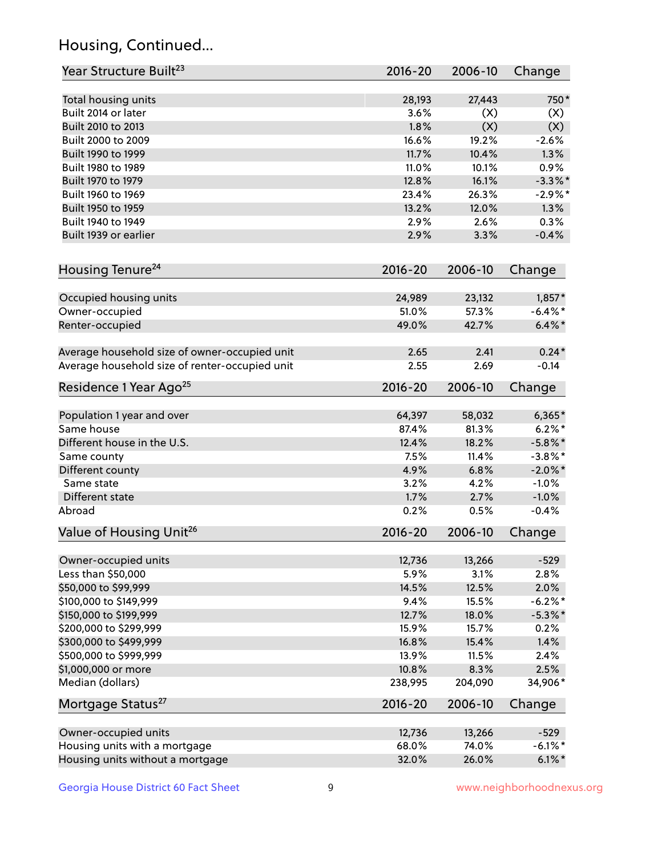## Housing, Continued...

| Year Structure Built <sup>23</sup>                    | 2016-20         | 2006-10         | Change               |
|-------------------------------------------------------|-----------------|-----------------|----------------------|
| Total housing units                                   | 28,193          | 27,443          | 750*                 |
| Built 2014 or later                                   | 3.6%            | (X)             | (X)                  |
| Built 2010 to 2013                                    | 1.8%            | (X)             | (X)                  |
| Built 2000 to 2009                                    | 16.6%           | 19.2%           | $-2.6%$              |
| Built 1990 to 1999                                    | 11.7%           | 10.4%           | 1.3%                 |
| Built 1980 to 1989                                    | 11.0%           | 10.1%           | 0.9%                 |
| Built 1970 to 1979                                    | 12.8%           | 16.1%           | $-3.3\%$ *           |
| Built 1960 to 1969                                    | 23.4%           | 26.3%           | $-2.9%$ *            |
| Built 1950 to 1959                                    | 13.2%           | 12.0%           | 1.3%                 |
| Built 1940 to 1949                                    | 2.9%            | 2.6%            | 0.3%                 |
| Built 1939 or earlier                                 | 2.9%            | 3.3%            | $-0.4%$              |
| Housing Tenure <sup>24</sup>                          | $2016 - 20$     | 2006-10         | Change               |
|                                                       |                 |                 |                      |
| Occupied housing units                                | 24,989          | 23,132          | $1,857*$             |
| Owner-occupied                                        | 51.0%           | 57.3%           | $-6.4\%$ *           |
| Renter-occupied                                       | 49.0%           | 42.7%           | $6.4\% *$            |
| Average household size of owner-occupied unit         | 2.65            | 2.41            | $0.24*$              |
| Average household size of renter-occupied unit        | 2.55            | 2.69            | $-0.14$              |
| Residence 1 Year Ago <sup>25</sup>                    | $2016 - 20$     | 2006-10         | Change               |
| Population 1 year and over                            | 64,397          | 58,032          | $6,365*$             |
| Same house                                            | 87.4%           | 81.3%           | $6.2\%$ *            |
| Different house in the U.S.                           | 12.4%           | 18.2%           | $-5.8\%$ *           |
| Same county                                           | 7.5%            | 11.4%           | $-3.8\%$ *           |
| Different county                                      | 4.9%            | 6.8%            | $-2.0\%$ *           |
| Same state                                            | 3.2%            | 4.2%            | $-1.0%$              |
| Different state                                       | 1.7%            | 2.7%            | $-1.0%$              |
| Abroad                                                | 0.2%            | 0.5%            | $-0.4%$              |
| Value of Housing Unit <sup>26</sup>                   | $2016 - 20$     | 2006-10         | Change               |
| Owner-occupied units                                  | 12,736          | 13,266          | $-529$               |
| Less than \$50,000                                    | 5.9%            | 3.1%            | 2.8%                 |
| \$50,000 to \$99,999                                  | 14.5%           | 12.5%           | 2.0%                 |
| \$100,000 to \$149,999                                | 9.4%            | 15.5%           | $-6.2\%$ *           |
| \$150,000 to \$199,999                                | 12.7%           | 18.0%           | $-5.3\%$ *           |
| \$200,000 to \$299,999                                | 15.9%           | 15.7%           | 0.2%                 |
| \$300,000 to \$499,999                                | 16.8%           | 15.4%           | 1.4%                 |
| \$500,000 to \$999,999                                | 13.9%           | 11.5%           | 2.4%                 |
| \$1,000,000 or more                                   | 10.8%           | 8.3%            | 2.5%                 |
| Median (dollars)                                      | 238,995         | 204,090         | 34,906*              |
| Mortgage Status <sup>27</sup>                         | $2016 - 20$     | 2006-10         | Change               |
|                                                       |                 |                 |                      |
| Owner-occupied units<br>Housing units with a mortgage | 12,736<br>68.0% | 13,266<br>74.0% | $-529$<br>$-6.1\%$ * |
|                                                       |                 |                 |                      |
| Housing units without a mortgage                      | 32.0%           | 26.0%           | $6.1\%$ *            |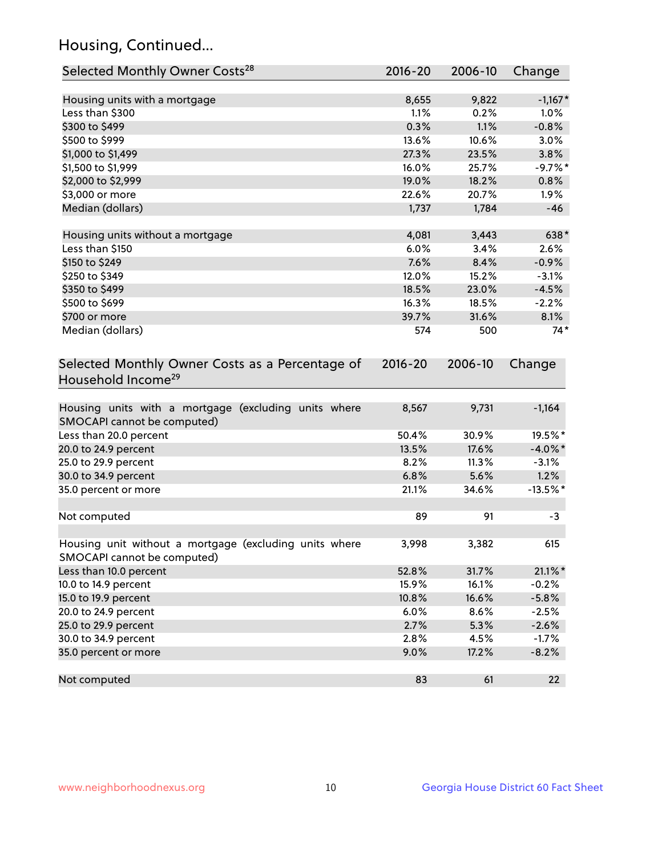## Housing, Continued...

| Selected Monthly Owner Costs <sup>28</sup>                                            | 2016-20 | 2006-10 | Change     |
|---------------------------------------------------------------------------------------|---------|---------|------------|
| Housing units with a mortgage                                                         | 8,655   | 9,822   | $-1,167*$  |
| Less than \$300                                                                       | 1.1%    | 0.2%    | 1.0%       |
| \$300 to \$499                                                                        | 0.3%    | 1.1%    | $-0.8%$    |
| \$500 to \$999                                                                        | 13.6%   | 10.6%   | 3.0%       |
| \$1,000 to \$1,499                                                                    | 27.3%   | 23.5%   | 3.8%       |
| \$1,500 to \$1,999                                                                    | 16.0%   | 25.7%   | $-9.7%$ *  |
| \$2,000 to \$2,999                                                                    | 19.0%   | 18.2%   | 0.8%       |
| \$3,000 or more                                                                       | 22.6%   | 20.7%   | 1.9%       |
| Median (dollars)                                                                      | 1,737   | 1,784   | $-46$      |
| Housing units without a mortgage                                                      | 4,081   | 3,443   | 638*       |
| Less than \$150                                                                       | 6.0%    | 3.4%    | 2.6%       |
| \$150 to \$249                                                                        | 7.6%    | 8.4%    | $-0.9%$    |
| \$250 to \$349                                                                        | 12.0%   | 15.2%   | $-3.1%$    |
| \$350 to \$499                                                                        | 18.5%   | 23.0%   | $-4.5%$    |
| \$500 to \$699                                                                        | 16.3%   | 18.5%   | $-2.2%$    |
| \$700 or more                                                                         | 39.7%   | 31.6%   | 8.1%       |
| Median (dollars)                                                                      | 574     | 500     | $74*$      |
| Selected Monthly Owner Costs as a Percentage of<br>Household Income <sup>29</sup>     |         |         | Change     |
| Housing units with a mortgage (excluding units where<br>SMOCAPI cannot be computed)   | 8,567   | 9,731   | $-1,164$   |
| Less than 20.0 percent                                                                | 50.4%   | 30.9%   | 19.5%*     |
| 20.0 to 24.9 percent                                                                  | 13.5%   | 17.6%   | $-4.0\%$ * |
| 25.0 to 29.9 percent                                                                  | 8.2%    | 11.3%   | $-3.1%$    |
| 30.0 to 34.9 percent                                                                  | 6.8%    | 5.6%    | 1.2%       |
| 35.0 percent or more                                                                  | 21.1%   | 34.6%   | $-13.5%$ * |
| Not computed                                                                          | 89      | 91      | -3         |
| Housing unit without a mortgage (excluding units where<br>SMOCAPI cannot be computed) | 3,998   | 3,382   | 615        |
| Less than 10.0 percent                                                                | 52.8%   | 31.7%   | $21.1\%$ * |
| 10.0 to 14.9 percent                                                                  | 15.9%   | 16.1%   | $-0.2%$    |
| 15.0 to 19.9 percent                                                                  | 10.8%   | 16.6%   | $-5.8%$    |
| 20.0 to 24.9 percent                                                                  | 6.0%    | 8.6%    | $-2.5%$    |
| 25.0 to 29.9 percent                                                                  | 2.7%    | 5.3%    | $-2.6%$    |
| 30.0 to 34.9 percent                                                                  | 2.8%    | 4.5%    | $-1.7%$    |
| 35.0 percent or more                                                                  | 9.0%    | 17.2%   | $-8.2%$    |
| Not computed                                                                          | 83      | 61      | 22         |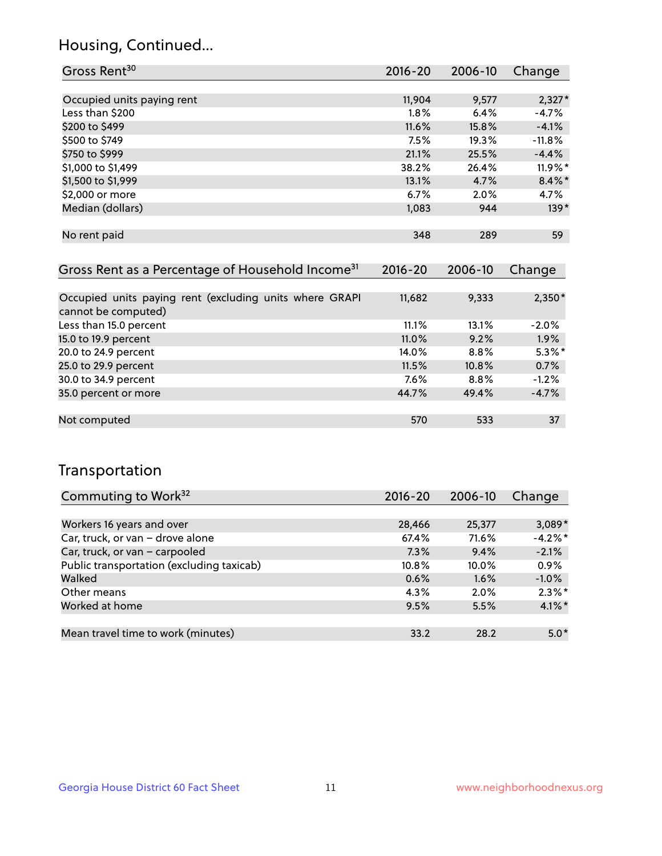## Housing, Continued...

| Gross Rent <sup>30</sup>   | 2016-20 | 2006-10 | Change    |
|----------------------------|---------|---------|-----------|
|                            |         |         |           |
| Occupied units paying rent | 11,904  | 9,577   | $2,327*$  |
| Less than \$200            | 1.8%    | 6.4%    | $-4.7%$   |
| \$200 to \$499             | 11.6%   | 15.8%   | $-4.1%$   |
| \$500 to \$749             | 7.5%    | 19.3%   | $-11.8%$  |
| \$750 to \$999             | 21.1%   | 25.5%   | $-4.4%$   |
| \$1,000 to \$1,499         | 38.2%   | 26.4%   | 11.9%*    |
| \$1,500 to \$1,999         | 13.1%   | 4.7%    | $8.4\%$ * |
| \$2,000 or more            | 6.7%    | 2.0%    | 4.7%      |
| Median (dollars)           | 1,083   | 944     | $139*$    |
|                            |         |         |           |
| No rent paid               | 348     | 289     | 59        |
|                            |         |         |           |

| Gross Rent as a Percentage of Household Income <sup>31</sup>                   | $2016 - 20$ | 2006-10 | Change    |
|--------------------------------------------------------------------------------|-------------|---------|-----------|
|                                                                                |             |         |           |
| Occupied units paying rent (excluding units where GRAPI<br>cannot be computed) | 11,682      | 9,333   | $2,350*$  |
| Less than 15.0 percent                                                         | 11.1%       | 13.1%   | $-2.0%$   |
| 15.0 to 19.9 percent                                                           | 11.0%       | 9.2%    | 1.9%      |
| 20.0 to 24.9 percent                                                           | 14.0%       | 8.8%    | $5.3\%$ * |
| 25.0 to 29.9 percent                                                           | 11.5%       | 10.8%   | 0.7%      |
| 30.0 to 34.9 percent                                                           | 7.6%        | 8.8%    | $-1.2%$   |
| 35.0 percent or more                                                           | 44.7%       | 49.4%   | $-4.7%$   |
|                                                                                |             |         |           |
| Not computed                                                                   | 570         | 533     | 37        |

## Transportation

| Commuting to Work <sup>32</sup>           | 2016-20 | 2006-10 | Change     |
|-------------------------------------------|---------|---------|------------|
|                                           |         |         |            |
| Workers 16 years and over                 | 28,466  | 25,377  | $3,089*$   |
| Car, truck, or van - drove alone          | 67.4%   | 71.6%   | $-4.2\%$ * |
| Car, truck, or van - carpooled            | 7.3%    | 9.4%    | $-2.1%$    |
| Public transportation (excluding taxicab) | 10.8%   | 10.0%   | 0.9%       |
| Walked                                    | 0.6%    | 1.6%    | $-1.0%$    |
| Other means                               | $4.3\%$ | $2.0\%$ | $2.3\%$ *  |
| Worked at home                            | 9.5%    | 5.5%    | $4.1\%$ *  |
|                                           |         |         |            |
| Mean travel time to work (minutes)        | 33.2    | 28.2    | $5.0*$     |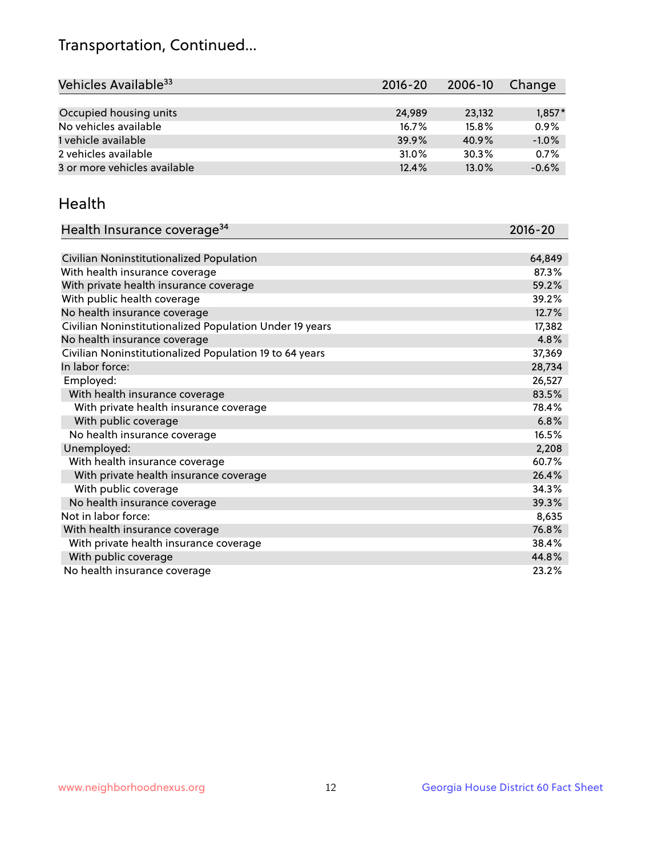## Transportation, Continued...

| Vehicles Available <sup>33</sup> | $2016 - 20$ | 2006-10 | Change   |
|----------------------------------|-------------|---------|----------|
|                                  |             |         |          |
| Occupied housing units           | 24,989      | 23,132  | $1,857*$ |
| No vehicles available            | 16.7%       | 15.8%   | 0.9%     |
| 1 vehicle available              | 39.9%       | 40.9%   | $-1.0%$  |
| 2 vehicles available             | 31.0%       | 30.3%   | 0.7%     |
| 3 or more vehicles available     | 12.4%       | 13.0%   | $-0.6%$  |

#### Health

| Health Insurance coverage <sup>34</sup>                 | 2016-20 |
|---------------------------------------------------------|---------|
|                                                         |         |
| Civilian Noninstitutionalized Population                | 64,849  |
| With health insurance coverage                          | 87.3%   |
| With private health insurance coverage                  | 59.2%   |
| With public health coverage                             | 39.2%   |
| No health insurance coverage                            | 12.7%   |
| Civilian Noninstitutionalized Population Under 19 years | 17,382  |
| No health insurance coverage                            | 4.8%    |
| Civilian Noninstitutionalized Population 19 to 64 years | 37,369  |
| In labor force:                                         | 28,734  |
| Employed:                                               | 26,527  |
| With health insurance coverage                          | 83.5%   |
| With private health insurance coverage                  | 78.4%   |
| With public coverage                                    | 6.8%    |
| No health insurance coverage                            | 16.5%   |
| Unemployed:                                             | 2,208   |
| With health insurance coverage                          | 60.7%   |
| With private health insurance coverage                  | 26.4%   |
| With public coverage                                    | 34.3%   |
| No health insurance coverage                            | 39.3%   |
| Not in labor force:                                     | 8,635   |
| With health insurance coverage                          | 76.8%   |
| With private health insurance coverage                  | 38.4%   |
| With public coverage                                    | 44.8%   |
| No health insurance coverage                            | 23.2%   |